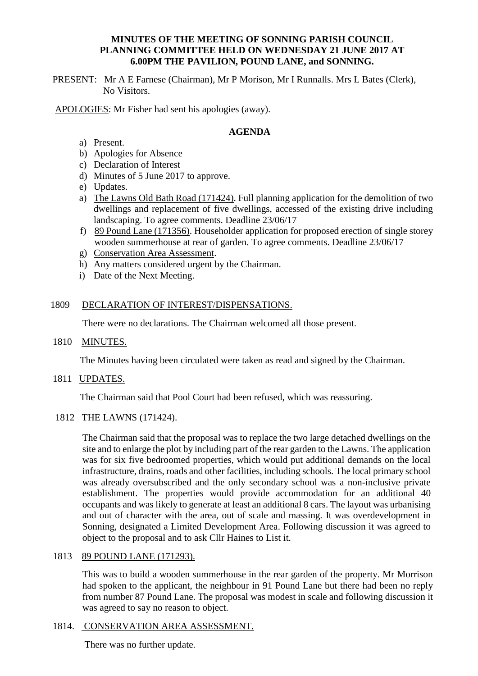## **MINUTES OF THE MEETING OF SONNING PARISH COUNCIL PLANNING COMMITTEE HELD ON WEDNESDAY 21 JUNE 2017 AT 6.00PM THE PAVILION, POUND LANE, and SONNING.**

PRESENT: Mr A E Farnese (Chairman), Mr P Morison, Mr I Runnalls. Mrs L Bates (Clerk), No Visitors.

APOLOGIES: Mr Fisher had sent his apologies (away).

## **AGENDA**

- a) Present.
- b) Apologies for Absence
- c) Declaration of Interest
- d) Minutes of 5 June 2017 to approve.
- e) Updates.
- a) The Lawns Old Bath Road (171424). Full planning application for the demolition of two dwellings and replacement of five dwellings, accessed of the existing drive including landscaping. To agree comments. Deadline 23/06/17
- f) 89 Pound Lane (171356). Householder application for proposed erection of single storey wooden summerhouse at rear of garden. To agree comments. Deadline 23/06/17
- g) Conservation Area Assessment.
- h) Any matters considered urgent by the Chairman.
- i) Date of the Next Meeting.

#### 1809 DECLARATION OF INTEREST/DISPENSATIONS.

There were no declarations. The Chairman welcomed all those present.

#### 1810 MINUTES.

The Minutes having been circulated were taken as read and signed by the Chairman.

1811 UPDATES.

The Chairman said that Pool Court had been refused, which was reassuring.

1812 THE LAWNS (171424).

The Chairman said that the proposal was to replace the two large detached dwellings on the site and to enlarge the plot by including part of the rear garden to the Lawns. The application was for six five bedroomed properties, which would put additional demands on the local infrastructure, drains, roads and other facilities, including schools. The local primary school was already oversubscribed and the only secondary school was a non-inclusive private establishment. The properties would provide accommodation for an additional 40 occupants and was likely to generate at least an additional 8 cars. The layout was urbanising and out of character with the area, out of scale and massing. It was overdevelopment in Sonning, designated a Limited Development Area. Following discussion it was agreed to object to the proposal and to ask Cllr Haines to List it.

#### 1813 89 POUND LANE (171293).

This was to build a wooden summerhouse in the rear garden of the property. Mr Morrison had spoken to the applicant, the neighbour in 91 Pound Lane but there had been no reply from number 87 Pound Lane. The proposal was modest in scale and following discussion it was agreed to say no reason to object.

#### 1814. CONSERVATION AREA ASSESSMENT.

There was no further update.